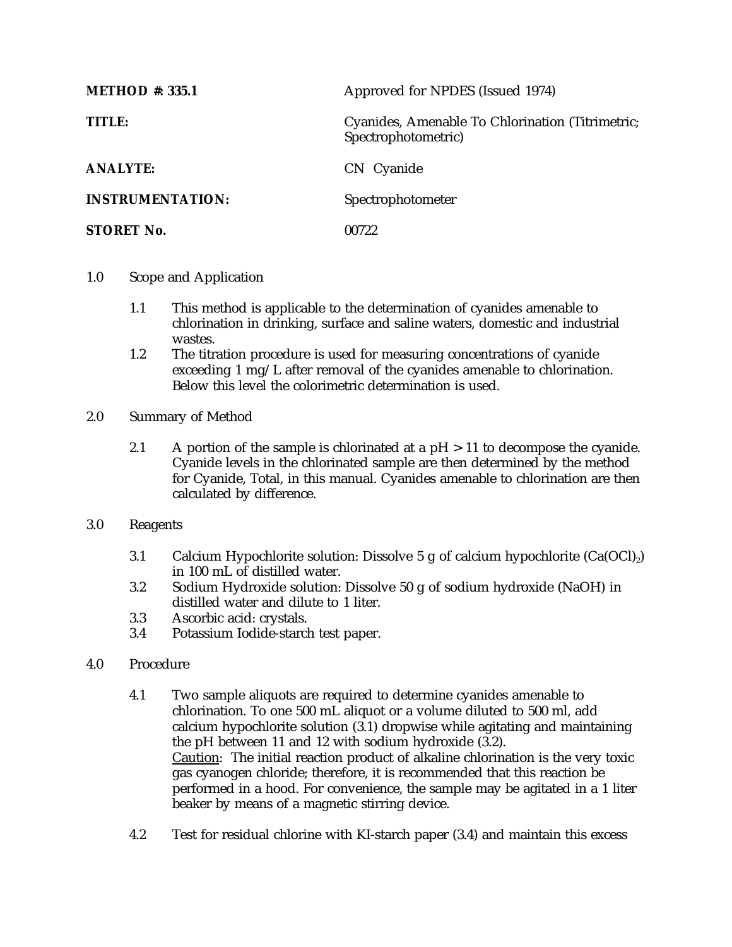| <b>METHOD</b> #: 335.1  | Approved for NPDES (Issued 1974)                                        |
|-------------------------|-------------------------------------------------------------------------|
| <b>TITLE:</b>           | Cyanides, Amenable To Chlorination (Titrimetric;<br>Spectrophotometric) |
| <b>ANALYTE:</b>         | CN Cyanide                                                              |
| <b>INSTRUMENTATION:</b> | Spectrophotometer                                                       |
| <b>STORET No.</b>       | 00722                                                                   |

- 1.0 Scope and Application
	- 1.1 This method is applicable to the determination of cyanides amenable to chlorination in drinking, surface and saline waters, domestic and industrial wastes.
	- 1.2 The titration procedure is used for measuring concentrations of cyanide exceeding 1 mg/L after removal of the cyanides amenable to chlorination. Below this level the colorimetric determination is used.
- 2.0 Summary of Method
	- 2.1 A portion of the sample is chlorinated at a  $pH > 11$  to decompose the cyanide. Cyanide levels in the chlorinated sample are then determined by the method for Cyanide, Total, in this manual. Cyanides amenable to chlorination are then calculated by difference.
- 3.0 Reagents
	- 3.1 Calcium Hypochlorite solution: Dissolve 5 g of calcium hypochlorite  $(Ca(OCl<sub>2</sub>))$ in 100 mL of distilled water.
	- 3.2 Sodium Hydroxide solution: Dissolve 50 g of sodium hydroxide (NaOH) in distilled water and dilute to 1 liter.
	- 3.3 Ascorbic acid: crystals.
	- 3.4 Potassium Iodide-starch test paper.
- 4.0 Procedure
	- 4.1 Two sample aliquots are required to determine cyanides amenable to chlorination. To one 500 mL aliquot or a volume diluted to 500 ml, add calcium hypochlorite solution (3.1) dropwise while agitating and maintaining the pH between 11 and 12 with sodium hydroxide (3.2). Caution: The initial reaction product of alkaline chlorination is the very toxic gas cyanogen chloride; therefore, it is recommended that this reaction be performed in a hood. For convenience, the sample may be agitated in a 1 liter beaker by means of a magnetic stirring device.
	- 4.2 Test for residual chlorine with KI-starch paper (3.4) and maintain this excess